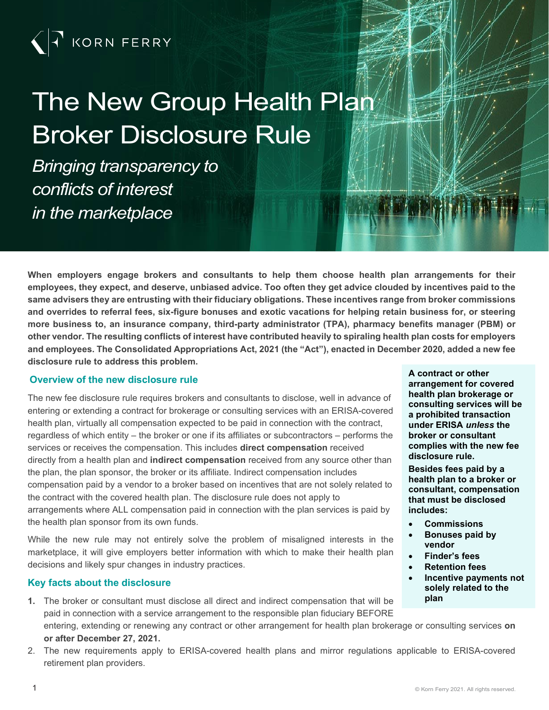

# The New Group Health Plan Broker Disclosure Rule

*Bringing transparency to conflicts of interest in the marketplace*

**When employers engage brokers and consultants to help them choose health plan arrangements for their employees, they expect, and deserve, unbiased advice. Too often they get advice clouded by incentives paid to the same advisers they are entrusting with their fiduciary obligations. These incentives range from broker commissions and overrides to referral fees, six-figure bonuses and exotic vacations for helping retain business for, or steering more business to, an insurance company, third-party administrator (TPA), pharmacy benefits manager (PBM) or other vendor. The resulting conflicts of interest have contributed heavily to spiraling health plan costs for employers and employees. The Consolidated Appropriations Act, 2021 (the "Act"), enacted in December 2020, added a new fee disclosure rule to address this problem.**

# **Overview of the new disclosure rule**

The new fee disclosure rule requires brokers and consultants to disclose, well in advance of entering or extending a contract for brokerage or consulting services with an ERISA-covered health plan, virtually all compensation expected to be paid in connection with the contract, regardless of which entity – the broker or one if its affiliates or subcontractors – performs the services or receives the compensation. This includes **direct compensation** received directly from a health plan and **indirect compensation** received from any source other than the plan, the plan sponsor, the broker or its affiliate. Indirect compensation includes compensation paid by a vendor to a broker based on incentives that are not solely related to the contract with the covered health plan. The disclosure rule does not apply to arrangements where ALL compensation paid in connection with the plan services is paid by the health plan sponsor from its own funds.

While the new rule may not entirely solve the problem of misaligned interests in the marketplace, it will give employers better information with which to make their health plan decisions and likely spur changes in industry practices.

# **Key facts about the disclosure**

- **1.** The broker or consultant must disclose all direct and indirect compensation that will be paid in connection with a service arrangement to the responsible plan fiduciary BEFORE entering, extending or renewing any contract or other arrangement for health plan brokerage or consulting services **on or after December 27, 2021.**
- 2. The new requirements apply to ERISA-covered health plans and mirror regulations applicable to ERISA-covered retirement plan providers.

**A contract or other arrangement for covered health plan brokerage or consulting services will be a prohibited transaction under ERISA** *unless* **the broker or consultant complies with the new fee disclosure rule.** 

**Besides fees paid by a health plan to a broker or consultant, compensation that must be disclosed includes:**

- **Commissions**
- **Bonuses paid by vendor**
- **Finder's fees**
- **Retention fees**
- **Incentive payments not solely related to the plan**